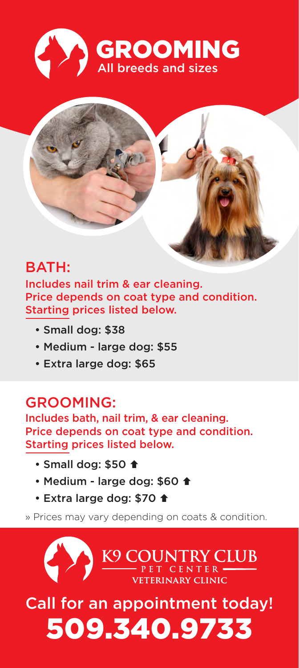



# BATH:

Includes nail trim & ear cleaning. Price depends on coat type and condition. Starting prices listed below.

- Small dog: \$38
- Medium large dog: \$55
- Extra large dog: \$65

#### GROOMING:

Includes bath, nail trim, & ear cleaning. Price depends on coat type and condition. Starting prices listed below.

- Small dog: \$50 <del>1</del>
- Medium large dog: \$60 <del>1</del>
- Extra large dog: \$70 <del>1</del>

» Prices may vary depending on coats & condition.

K9 COUNTRY CLUB

Call for an appointment today! 509.340.9733